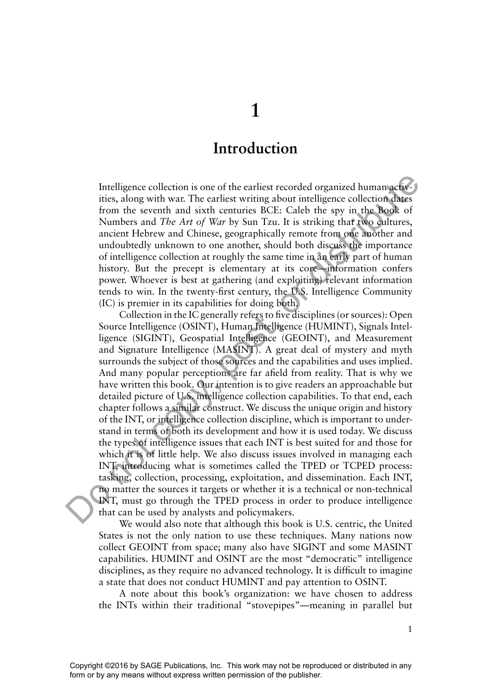## **Introduction**

Intelligence collection is one of the earliest recorded organized human activities, along with war. The earliest writing about intelligence collection dates from the seventh and sixth centuries BCE: Caleb the spy in the Book of Numbers and *The Art of War* by Sun Tzu. It is striking that two cultures, ancient Hebrew and Chinese, geographically remote from one another and undoubtedly unknown to one another, should both discuss the importance of intelligence collection at roughly the same time in an early part of human history. But the precept is elementary at its core—information confers power. Whoever is best at gathering (and exploiting) relevant information tends to win. In the twenty-first century, the U.S. Intelligence Community (IC) is premier in its capabilities for doing both.

Collection in the IC generally refers to five disciplines (or sources): Open Source Intelligence (OSINT), Human Intelligence (HUMINT), Signals Intelligence (SIGINT), Geospatial Intelligence (GEOINT), and Measurement and Signature Intelligence (MASINT). A great deal of mystery and myth surrounds the subject of those sources and the capabilities and uses implied. And many popular perceptions are far afield from reality. That is why we have written this book. Our intention is to give readers an approachable but detailed picture of U.S. intelligence collection capabilities. To that end, each chapter follows a similar construct. We discuss the unique origin and history of the INT, or intelligence collection discipline, which is important to understand in terms of both its development and how it is used today. We discuss the types of intelligence issues that each INT is best suited for and those for which it is of little help. We also discuss issues involved in managing each INT, introducing what is sometimes called the TPED or TCPED process: tasking, collection, processing, exploitation, and dissemination. Each INT, no matter the sources it targets or whether it is a technical or non-technical INT, must go through the TPED process in order to produce intelligence that can be used by analysts and policymakers. Intelligence collection is one of the earliest recorded organized humans<br>collection, along with war. The earliest writting about intelligence collection dates<br>suricus and The are form of Warr by Sun Tau. It is striking, t

We would also note that although this book is U.S. centric, the United States is not the only nation to use these techniques. Many nations now collect GEOINT from space; many also have SIGINT and some MASINT capabilities. HUMINT and OSINT are the most "democratic" intelligence disciplines, as they require no advanced technology. It is difficult to imagine a state that does not conduct HUMINT and pay attention to OSINT.

A note about this book's organization: we have chosen to address the INTs within their traditional "stovepipes"—meaning in parallel but

Copyright ©2016 by SAGE Publications, Inc. This work may not be reproduced or distributed in any<br>form or by any means without express written permission of the publisher.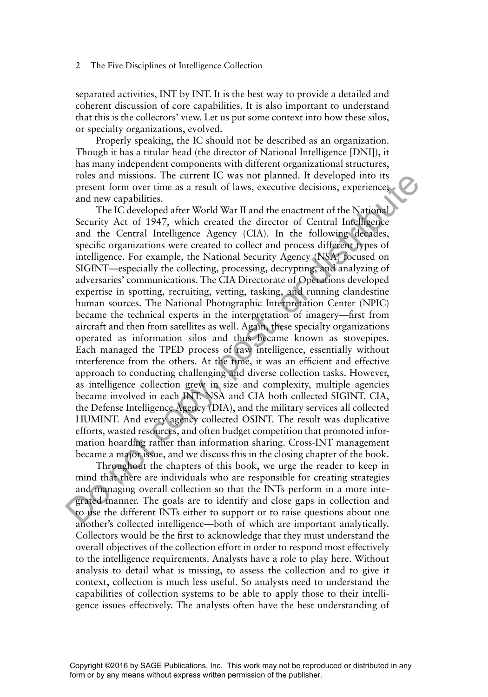## 2 The Five Disciplines of Intelligence Collection

separated activities, INT by INT. It is the best way to provide a detailed and coherent discussion of core capabilities. It is also important to understand that this is the collectors' view. Let us put some context into how these silos, or specialty organizations, evolved.

Properly speaking, the IC should not be described as an organization. Though it has a titular head (the director of National Intelligence [DNI]), it has many independent components with different organizational structures, roles and missions. The current IC was not planned. It developed into its present form over time as a result of laws, executive decisions, experience, and new capabilities.

The IC developed after World War II and the enactment of the National Security Act of 1947, which created the director of Central Intelligence and the Central Intelligence Agency (CIA). In the following decades, specific organizations were created to collect and process different types of intelligence. For example, the National Security Agency (NSA) focused on SIGINT—especially the collecting, processing, decrypting, and analyzing of adversaries' communications. The CIA Directorate of Operations developed expertise in spotting, recruiting, vetting, tasking, and running clandestine human sources. The National Photographic Interpretation Center (NPIC) became the technical experts in the interpretation of imagery—first from aircraft and then from satellites as well. Again, these specialty organizations operated as information silos and thus became known as stovepipes. Each managed the TPED process of raw intelligence, essentially without interference from the others. At the time, it was an efficient and effective approach to conducting challenging and diverse collection tasks. However, as intelligence collection grew in size and complexity, multiple agencies became involved in each INT. NSA and CIA both collected SIGINT. CIA, the Defense Intelligence Agency (DIA), and the military services all collected HUMINT. And every agency collected OSINT. The result was duplicative efforts, wasted resources, and often budget competition that promoted information hoarding rather than information sharing. Cross-INT management became a major issue, and we discuss this in the closing chapter of the book. rotes and massion. It is current IC was not planeted. It developed into its current form over time as a result of laws, executive decisions, experience, and means we coput<br>this carrel with the Calevdoped after World War II

Throughout the chapters of this book, we urge the reader to keep in mind that there are individuals who are responsible for creating strategies and managing overall collection so that the INTs perform in a more integrated manner. The goals are to identify and close gaps in collection and to use the different INTs either to support or to raise questions about one another's collected intelligence—both of which are important analytically. Collectors would be the first to acknowledge that they must understand the overall objectives of the collection effort in order to respond most effectively to the intelligence requirements. Analysts have a role to play here. Without analysis to detail what is missing, to assess the collection and to give it context, collection is much less useful. So analysts need to understand the capabilities of collection systems to be able to apply those to their intelligence issues effectively. The analysts often have the best understanding of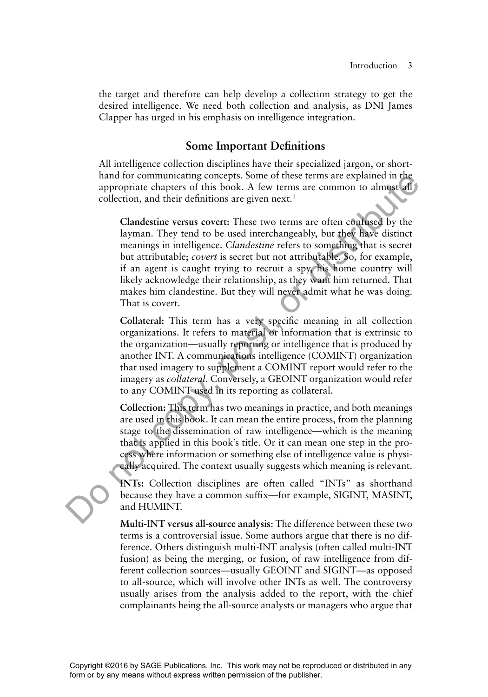the target and therefore can help develop a collection strategy to get the desired intelligence. We need both collection and analysis, as DNI James Clapper has urged in his emphasis on intelligence integration.

## **Some Important Definitions**

All intelligence collection disciplines have their specialized jargon, or shorthand for communicating concepts. Some of these terms are explained in the appropriate chapters of this book. A few terms are common to almost all collection, and their definitions are given  $next<sup>1</sup>$ 

**Clandestine versus covert:** These two terms are often confused by the layman. They tend to be used interchangeably, but they have distinct meanings in intelligence. *Clandestine* refers to something that is secret but attributable; *covert* is secret but not attributable. So, for example, if an agent is caught trying to recruit a spy, his home country will likely acknowledge their relationship, as they want him returned. That makes him clandestine. But they will never admit what he was doing. That is covert. Form or expectively complete that the control of the publisher. The control of the publisher control of the set of the publisher control of the set of the properties coert intervents are common to almost collection, and t

Collateral: This term has a very specific meaning in all collection organizations. It refers to material or information that is extrinsic to the organization—usually reporting or intelligence that is produced by another INT. A communications intelligence (COMINT) organization that used imagery to supplement a COMINT report would refer to the imagery as *collateral.* Conversely, a GEOINT organization would refer to any COMINT used in its reporting as collateral.

**Collection:** This term has two meanings in practice, and both meanings are used in this book. It can mean the entire process, from the planning stage to the dissemination of raw intelligence—which is the meaning that is applied in this book's title. Or it can mean one step in the process where information or something else of intelligence value is physically acquired. The context usually suggests which meaning is relevant.

**INTs:** Collection disciplines are often called "INTs" as shorthand because they have a common suffix—for example, SIGINT, MASINT, and HUMINT.

**Multi-INT versus all-source analysis**: The difference between these two terms is a controversial issue. Some authors argue that there is no difference. Others distinguish multi-INT analysis (often called multi-INT fusion) as being the merging, or fusion, of raw intelligence from different collection sources—usually GEOINT and SIGINT—as opposed to all-source, which will involve other INTs as well. The controversy usually arises from the analysis added to the report, with the chief complainants being the all-source analysts or managers who argue that